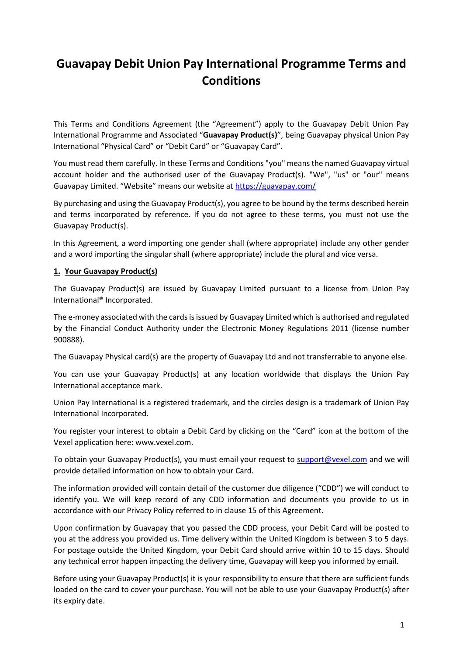# **Guavapay Debit Union Pay International Programme Terms and Conditions**

This Terms and Conditions Agreement (the "Agreement") apply to the Guavapay Debit Union Pay International Programme and Associated "**Guavapay Product(s)**", being Guavapay physical Union Pay International "Physical Card" or "Debit Card" or "Guavapay Card".

You must read them carefully. In these Terms and Conditions "you" means the named Guavapay virtual account holder and the authorised user of the Guavapay Product(s). "We", "us" or "our" means Guavapay Limited. "Website" means our website at <https://guavapay.com/>

By purchasing and using the Guavapay Product(s), you agree to be bound by the terms described herein and terms incorporated by reference. If you do not agree to these terms, you must not use the Guavapay Product(s).

In this Agreement, a word importing one gender shall (where appropriate) include any other gender and a word importing the singular shall (where appropriate) include the plural and vice versa.

### **1. Your Guavapay Product(s)**

The Guavapay Product(s) are issued by Guavapay Limited pursuant to a license from Union Pay International® Incorporated.

The e-money associated with the cards is issued by Guavapay Limited which is authorised and regulated by the Financial Conduct Authority under the Electronic Money Regulations 2011 (license number 900888).

The Guavapay Physical card(s) are the property of Guavapay Ltd and not transferrable to anyone else.

You can use your Guavapay Product(s) at any location worldwide that displays the Union Pay International acceptance mark.

Union Pay International is a registered trademark, and the circles design is a trademark of Union Pay International Incorporated.

You register your interest to obtain a Debit Card by clicking on the "Card" icon at the bottom of the Vexel application here: [www.vexel.com.](http://www.vexel.com/)

To obtain your Guavapay Product(s), you must email your request to [support@vexel.com](mailto:support@vexel.com) and we will provide detailed information on how to obtain your Card.

The information provided will contain detail of the customer due diligence ("CDD") we will conduct to identify you. We will keep record of any CDD information and documents you provide to us in accordance with our Privacy Policy referred to in clause 15 of this Agreement.

Upon confirmation by Guavapay that you passed the CDD process, your Debit Card will be posted to you at the address you provided us. Time delivery within the United Kingdom is between 3 to 5 days. For postage outside the United Kingdom, your Debit Card should arrive within 10 to 15 days. Should any technical error happen impacting the delivery time, Guavapay will keep you informed by email.

Before using your Guavapay Product(s) it is your responsibility to ensure that there are sufficient funds loaded on the card to cover your purchase. You will not be able to use your Guavapay Product(s) after its expiry date.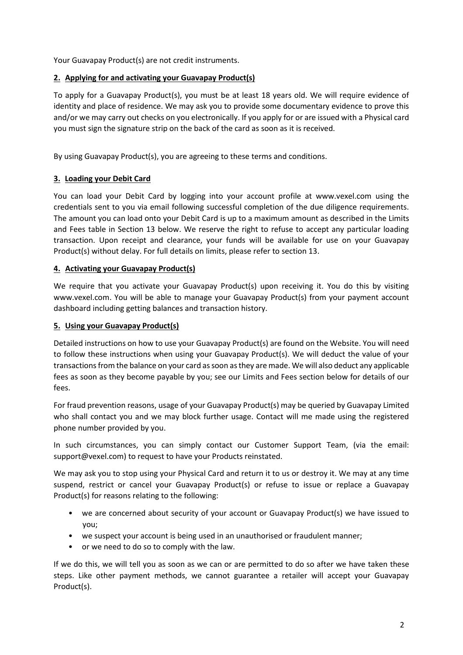Your Guavapay Product(s) are not credit instruments.

# **2. Applying for and activating your Guavapay Product(s)**

To apply for a Guavapay Product(s), you must be at least 18 years old. We will require evidence of identity and place of residence. We may ask you to provide some documentary evidence to prove this and/or we may carry out checks on you electronically. If you apply for or are issued with a Physical card you must sign the signature strip on the back of the card as soon as it is received.

By using Guavapay Product(s), you are agreeing to these terms and conditions.

# **3. Loading your Debit Card**

You can load your Debit Card by logging into your account profile at [www.vexel.com](http://www.vexel.com/) using the credentials sent to you via email following successful completion of the due diligence requirements. The amount you can load onto your Debit Card is up to a maximum amount as described in the Limits and Fees table in Section 13 below. We reserve the right to refuse to accept any particular loading transaction. Upon receipt and clearance, your funds will be available for use on your Guavapay Product(s) without delay. For full details on limits, please refer to section 13.

# **4. Activating your Guavapay Product(s)**

We require that you activate your Guavapay Product(s) upon receiving it. You do this by visiting [www.vexel.com.](http://www.vexel.com/) You will be able to manage your Guavapay Product(s) from your payment account dashboard including getting balances and transaction history.

### **5. Using your Guavapay Product(s)**

Detailed instructions on how to use your Guavapay Product(s) are found on the Website. You will need to follow these instructions when using your Guavapay Product(s). We will deduct the value of your transactions from the balance on your card as soon as they are made. We will also deduct any applicable fees as soon as they become payable by you; see our Limits and Fees section below for details of our fees.

For fraud prevention reasons, usage of your Guavapay Product(s) may be queried by Guavapay Limited who shall contact you and we may block further usage. Contact will me made using the registered phone number provided by you.

In such circumstances, you can simply contact our Customer Support Team, (via the email: [support@vexel.com\)](mailto:support@vexel.com) to request to have your Products reinstated.

We may ask you to stop using your Physical Card and return it to us or destroy it. We may at any time suspend, restrict or cancel your Guavapay Product(s) or refuse to issue or replace a Guavapay Product(s) for reasons relating to the following:

- we are concerned about security of your account or Guavapay Product(s) we have issued to you;
- we suspect your account is being used in an unauthorised or fraudulent manner;
- or we need to do so to comply with the law.

If we do this, we will tell you as soon as we can or are permitted to do so after we have taken these steps. Like other payment methods, we cannot guarantee a retailer will accept your Guavapay Product(s).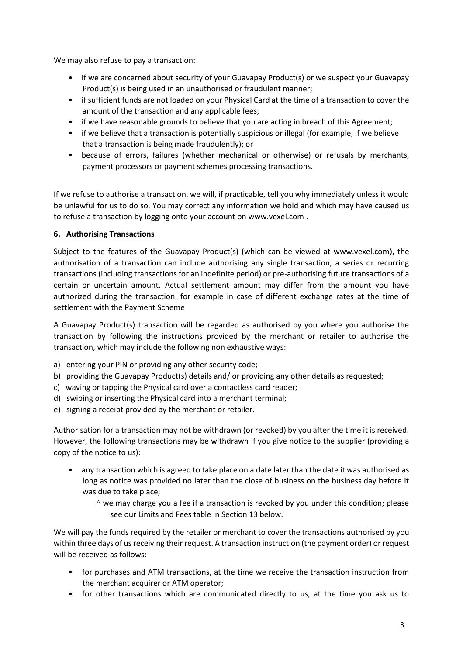We may also refuse to pay a transaction:

- if we are concerned about security of your Guavapay Product(s) or we suspect your Guavapay Product(s) is being used in an unauthorised or fraudulent manner;
- if sufficient funds are not loaded on your Physical Card at the time of a transaction to cover the amount of the transaction and any applicable fees;
- if we have reasonable grounds to believe that you are acting in breach of this Agreement;
- if we believe that a transaction is potentially suspicious or illegal (for example, if we believe that a transaction is being made fraudulently); or
- because of errors, failures (whether mechanical or otherwise) or refusals by merchants, payment processors or payment schemes processing transactions.

If we refuse to authorise a transaction, we will, if practicable, tell you why immediately unless it would be unlawful for us to do so. You may correct any information we hold and which may have caused us to refuse a transaction by logging onto your account on [www.vexel.com](http://www.vexel.com/) .

# **6. Authorising Transactions**

Subject to the features of the Guavapay Product(s) (which can be viewed at [www.vexel.com](http://www.vexel.com/)), the authorisation of a transaction can include authorising any single transaction, a series or recurring transactions (including transactions for an indefinite period) or pre-authorising future transactions of a certain or uncertain amount. Actual settlement amount may differ from the amount you have authorized during the transaction, for example in case of different exchange rates at the time of settlement with the Payment Scheme

A Guavapay Product(s) transaction will be regarded as authorised by you where you authorise the transaction by following the instructions provided by the merchant or retailer to authorise the transaction, which may include the following non exhaustive ways:

- a) entering your PIN or providing any other security code;
- b) providing the Guavapay Product(s) details and/ or providing any other details as requested;
- c) waving or tapping the Physical card over a contactless card reader;
- d) swiping or inserting the Physical card into a merchant terminal;
- e) signing a receipt provided by the merchant or retailer.

Authorisation for a transaction may not be withdrawn (or revoked) by you after the time it is received. However, the following transactions may be withdrawn if you give notice to the supplier (providing a copy of the notice to us):

- any transaction which is agreed to take place on a date later than the date it was authorised as long as notice was provided no later than the close of business on the business day before it was due to take place;
	- ^ we may charge you a fee if a transaction is revoked by you under this condition; please see our Limits and Fees table in Section 13 below.

We will pay the funds required by the retailer or merchant to cover the transactions authorised by you within three days of us receiving their request. A transaction instruction (the payment order) or request will be received as follows:

- for purchases and ATM transactions, at the time we receive the transaction instruction from the merchant acquirer or ATM operator;
- for other transactions which are communicated directly to us, at the time you ask us to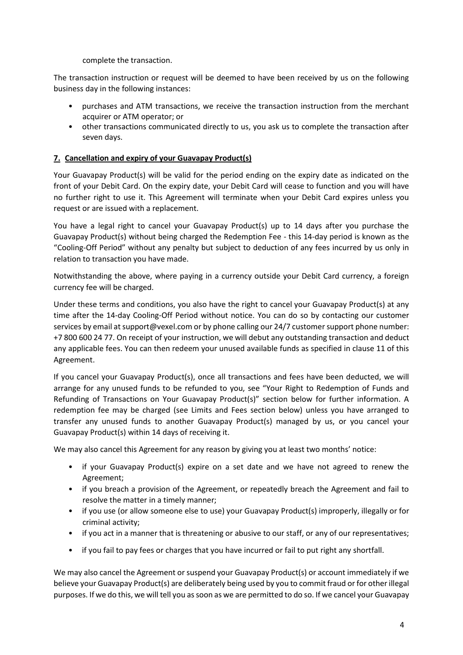complete the transaction.

The transaction instruction or request will be deemed to have been received by us on the following business day in the following instances:

- purchases and ATM transactions, we receive the transaction instruction from the merchant acquirer or ATM operator; or
- other transactions communicated directly to us, you ask us to complete the transaction after seven days.

### **7. Cancellation and expiry of your Guavapay Product(s)**

Your Guavapay Product(s) will be valid for the period ending on the expiry date as indicated on the front of your Debit Card. On the expiry date, your Debit Card will cease to function and you will have no further right to use it. This Agreement will terminate when your Debit Card expires unless you request or are issued with a replacement.

You have a legal right to cancel your Guavapay Product(s) up to 14 days after you purchase the Guavapay Product(s) without being charged the Redemption Fee - this 14-day period is known as the "Cooling-Off Period" without any penalty but subject to deduction of any fees incurred by us only in relation to transaction you have made.

Notwithstanding the above, where paying in a currency outside your Debit Card currency, a foreign currency fee will be charged.

Under these terms and conditions, you also have the right to cancel your Guavapay Product(s) at any time after the 14-day Cooling-Off Period without notice. You can do so by contacting our customer services by email a[t support@vexel.com](mailto:support@vexel.com) or by phone calling our 24/7 customer support phone number: +7 800 600 24 77. On receipt of your instruction, we will debut any outstanding transaction and deduct any applicable fees. You can then redeem your unused available funds as specified in clause 11 of this Agreement.

If you cancel your Guavapay Product(s), once all transactions and fees have been deducted, we will arrange for any unused funds to be refunded to you, see "Your Right to Redemption of Funds and Refunding of Transactions on Your Guavapay Product(s)" section below for further information. A redemption fee may be charged (see Limits and Fees section below) unless you have arranged to transfer any unused funds to another Guavapay Product(s) managed by us, or you cancel your Guavapay Product(s) within 14 days of receiving it.

We may also cancel this Agreement for any reason by giving you at least two months' notice:

- if your Guavapay Product(s) expire on a set date and we have not agreed to renew the Agreement;
- if you breach a provision of the Agreement, or repeatedly breach the Agreement and fail to resolve the matter in a timely manner;
- if you use (or allow someone else to use) your Guavapay Product(s) improperly, illegally or for criminal activity;
- if you act in a manner that is threatening or abusive to our staff, or any of our representatives;
- if you fail to pay fees or charges that you have incurred or fail to put right any shortfall.

We may also cancel the Agreement or suspend your Guavapay Product(s) or account immediately if we believe your Guavapay Product(s) are deliberately being used by you to commit fraud or for other illegal purposes. If we do this, we will tell you as soon as we are permitted to do so. If we cancel your Guavapay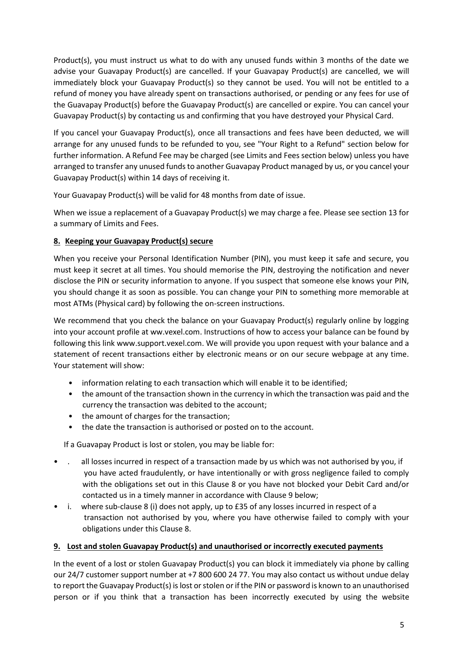Product(s), you must instruct us what to do with any unused funds within 3 months of the date we advise your Guavapay Product(s) are cancelled. If your Guavapay Product(s) are cancelled, we will immediately block your Guavapay Product(s) so they cannot be used. You will not be entitled to a refund of money you have already spent on transactions authorised, or pending or any fees for use of the Guavapay Product(s) before the Guavapay Product(s) are cancelled or expire. You can cancel your Guavapay Product(s) by contacting us and confirming that you have destroyed your Physical Card.

If you cancel your Guavapay Product(s), once all transactions and fees have been deducted, we will arrange for any unused funds to be refunded to you, see "Your Right to a Refund" section below for further information. A Refund Fee may be charged (see Limits and Fees section below) unless you have arranged to transfer any unused funds to another Guavapay Product managed by us, or you cancel your Guavapay Product(s) within 14 days of receiving it.

Your Guavapay Product(s) will be valid for 48 months from date of issue.

When we issue a replacement of a Guavapay Product(s) we may charge a fee. Please see section 13 for a summary of Limits and Fees.

# **8. Keeping your Guavapay Product(s) secure**

When you receive your Personal Identification Number (PIN), you must keep it safe and secure, you must keep it secret at all times. You should memorise the PIN, destroying the notification and never disclose the PIN or security information to anyone. If you suspect that someone else knows your PIN, you should change it as soon as possible. You can change your PIN to something more memorable at most ATMs (Physical card) by following the on-screen instructions.

We recommend that you check the balance on your Guavapay Product(s) regularly online by logging into your account profile at ww.vexel.com. Instructions of how to access your balance can be found by following this link [www.support.vexel.com.](http://www.support.vexel.com/) We will provide you upon request with your balance and a statement of recent transactions either by electronic means or on our secure webpage at any time. Your statement will show:

- information relating to each transaction which will enable it to be identified;
- the amount of the transaction shown in the currency in which the transaction was paid and the currency the transaction was debited to the account;
- the amount of charges for the transaction;
- the date the transaction is authorised or posted on to the account.

If a Guavapay Product is lost or stolen, you may be liable for:

- all losses incurred in respect of a transaction made by us which was not authorised by you, if you have acted fraudulently, or have intentionally or with gross negligence failed to comply with the obligations set out in this Clause 8 or you have not blocked your Debit Card and/or contacted us in a timely manner in accordance with Clause 9 below;
- i. where sub-clause 8 (i) does not apply, up to £35 of any losses incurred in respect of a transaction not authorised by you, where you have otherwise failed to comply with your obligations under this Clause 8.

### **9. Lost and stolen Guavapay Product(s) and unauthorised or incorrectly executed payments**

In the event of a lost or stolen Guavapay Product(s) you can block it immediately via phone by calling our 24/7 customer support number at +7 800 600 24 77. You may also contact us without undue delay to report the Guavapay Product(s) is lost or stolen or if the PIN or password is known to an unauthorised person or if you think that a transaction has been incorrectly executed by using the websit[e](https://guavapay.com/)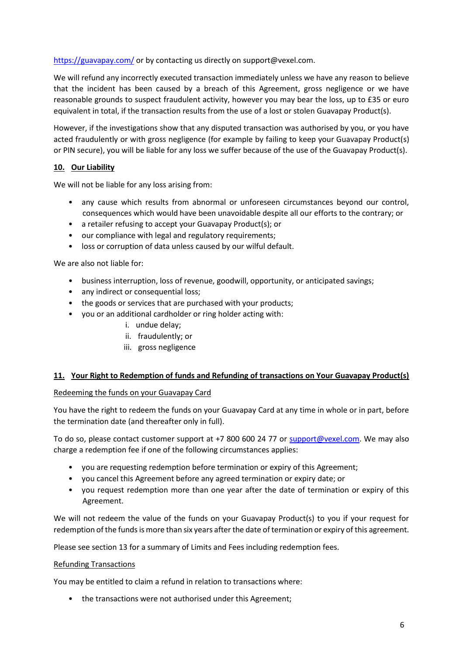<https://guavapay.com/> or by contacting us directly on [support@vexel.com.](mailto:support@vexel.com)

We will refund any incorrectly executed transaction immediately unless we have any reason to believe that the incident has been caused by a breach of this Agreement, gross negligence or we have reasonable grounds to suspect fraudulent activity, however you may bear the loss, up to £35 or euro equivalent in total, if the transaction results from the use of a lost or stolen Guavapay Product(s).

However, if the investigations show that any disputed transaction was authorised by you, or you have acted fraudulently or with gross negligence (for example by failing to keep your Guavapay Product(s) or PIN secure), you will be liable for any loss we suffer because of the use of the Guavapay Product(s).

# **10. Our Liability**

We will not be liable for any loss arising from:

- any cause which results from abnormal or unforeseen circumstances beyond our control, consequences which would have been unavoidable despite all our efforts to the contrary; or
- a retailer refusing to accept your Guavapay Product(s); or
- our compliance with legal and regulatory requirements;
- loss or corruption of data unless caused by our wilful default.

We are also not liable for:

- business interruption, loss of revenue, goodwill, opportunity, or anticipated savings;
- any indirect or consequential loss;
- the goods or services that are purchased with your products;
- you or an additional cardholder or ring holder acting with:
	- i. undue delay;
	- ii. fraudulently; or
	- iii. gross negligence

### **11. Your Right to Redemption of funds and Refunding of transactions on Your Guavapay Product(s)**

### Redeeming the funds on your Guavapay Card

You have the right to redeem the funds on your Guavapay Card at any time in whole or in part, before the termination date (and thereafter only in full).

To do so, please contact customer support at +7 800 600 24 77 or [support@vexel.com.](mailto:support@vexel.com) We may also charge a redemption fee if one of the following circumstances applies:

- you are requesting redemption before termination or expiry of this Agreement;
- you cancel this Agreement before any agreed termination or expiry date; or
- you request redemption more than one year after the date of termination or expiry of this Agreement.

We will not redeem the value of the funds on your Guavapay Product(s) to you if your request for redemption of the funds is more than six years after the date of termination or expiry of this agreement.

Please see section 13 for a summary of Limits and Fees including redemption fees.

### Refunding Transactions

You may be entitled to claim a refund in relation to transactions where:

• the transactions were not authorised under this Agreement;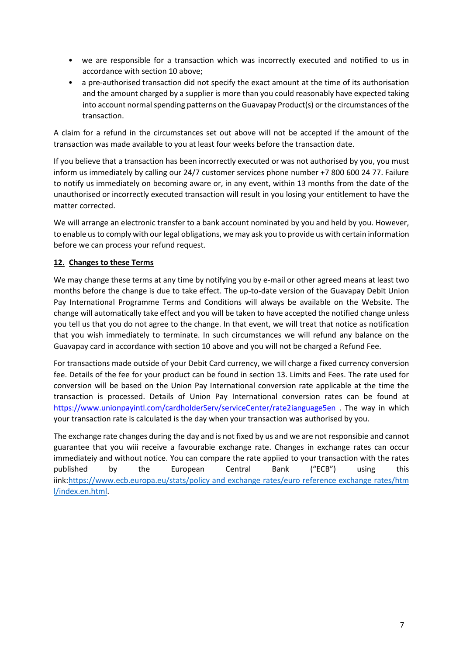- we are responsible for a transaction which was incorrectly executed and notified to us in accordance with section 10 above;
- a pre-authorised transaction did not specify the exact amount at the time of its authorisation and the amount charged by a supplier is more than you could reasonably have expected taking into account normal spending patterns on the Guavapay Product(s) or the circumstances of the transaction.

A claim for a refund in the circumstances set out above will not be accepted if the amount of the transaction was made available to you at least four weeks before the transaction date.

If you believe that a transaction has been incorrectly executed or was not authorised by you, you must inform us immediately by calling our 24/7 customer services phone number +7 800 600 24 77. Failure to notify us immediately on becoming aware or, in any event, within 13 months from the date of the unauthorised or incorrectly executed transaction will result in you losing your entitlement to have the matter corrected.

We will arrange an electronic transfer to a bank account nominated by you and held by you. However, to enable us to comply with our legal obligations, we may ask you to provide us with certain information before we can process your refund request.

# **12. Changes to these Terms**

We may change these terms at any time by notifying you by e-mail or other agreed means at least two months before the change is due to take effect. The up-to-date version of the Guavapay Debit Union Pay International Programme Terms and Conditions will always be available on the Website. The change will automatically take effect and you will be taken to have accepted the notified change unless you tell us that you do not agree to the change. In that event, we will treat that notice as notification that you wish immediately to terminate. In such circumstances we will refund any balance on the Guavapay card in accordance with section 10 above and you will not be charged a Refund Fee.

For transactions made outside of your Debit Card currency, we will charge a fixed currency conversion fee. Details of the fee for your product can be found in section 13. Limits and Fees. The rate used for conversion will be based on the Union Pay International conversion rate applicable at the time the transaction is processed. Details of Union Pay International conversion rates can be found at [https://www.unionpayintl.com/cardholderServ/serviceCenter/rate2ianguage5en .](https://www.unionpayintl.com/cardholderServ/serviceCenter/rate?language=en) The way in which your transaction rate is calculated is the day when your transaction was authorised by you.

The exchange rate changes during the day and is not fixed by us and we are not responsibie and cannot guarantee that you wiii receive a favourabie exchange rate. Changes in exchange rates can occur immediateiy and without notice. You can compare the rate appiied to your transaction with the rates published by the European Central Bank ("ECB") using this iink[:https://www.ecb.europa.eu/stats/policy and exchange rates/euro reference exchange rates/htm](https://www.ecb.europa.eu/stats/policy_and_exchange_rates/euro_reference_exchange_rates/html/index.en.html) [l/index.en.html.](https://www.ecb.europa.eu/stats/policy_and_exchange_rates/euro_reference_exchange_rates/html/index.en.html)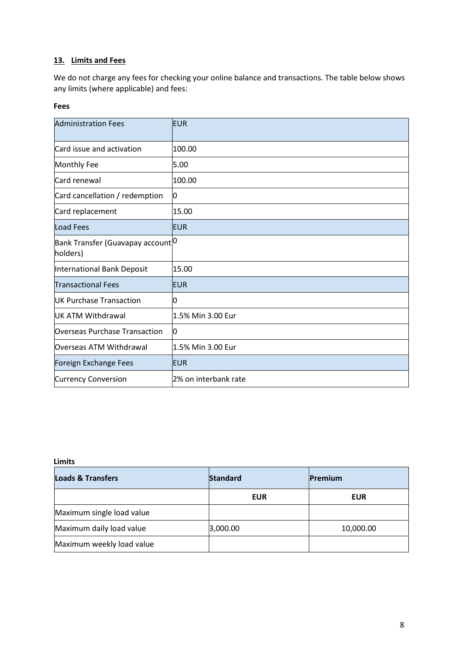# **13. Limits and Fees**

We do not charge any fees for checking your online balance and transactions. The table below shows any limits (where applicable) and fees:

### **Fees**

| <b>Administration Fees</b>                                | EUR                  |
|-----------------------------------------------------------|----------------------|
| Card issue and activation                                 | 100.00               |
| Monthly Fee                                               | 5.00                 |
| Card renewal                                              | 100.00               |
| Card cancellation / redemption                            | 0                    |
| Card replacement                                          | 15.00                |
| <b>Load Fees</b>                                          | <b>EUR</b>           |
| Bank Transfer (Guavapay account <sup> O</sup><br>holders) |                      |
| International Bank Deposit                                | 15.00                |
| <b>Transactional Fees</b>                                 | <b>EUR</b>           |
| <b>UK Purchase Transaction</b>                            | 0                    |
| UK ATM Withdrawal                                         | 1.5% Min 3.00 Eur    |
| <b>Overseas Purchase Transaction</b>                      | 0                    |
| Overseas ATM Withdrawal                                   | 1.5% Min 3.00 Eur    |
| Foreign Exchange Fees                                     | <b>EUR</b>           |
| <b>Currency Conversion</b>                                | 2% on interbank rate |

#### **Limits**

| <b>Loads &amp; Transfers</b> | <b>Standard</b> | <b>Premium</b> |
|------------------------------|-----------------|----------------|
|                              | <b>EUR</b>      | <b>EUR</b>     |
| Maximum single load value    |                 |                |
| Maximum daily load value     | 3,000.00        | 10,000.00      |
| Maximum weekly load value    |                 |                |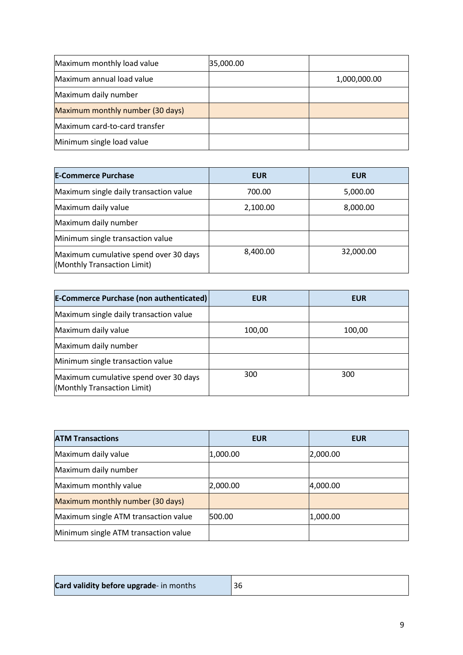| Maximum monthly load value       | 35,000.00 |              |
|----------------------------------|-----------|--------------|
| Maximum annual load value        |           | 1,000,000.00 |
| Maximum daily number             |           |              |
| Maximum monthly number (30 days) |           |              |
| Maximum card-to-card transfer    |           |              |
| Minimum single load value        |           |              |

| <b>E-Commerce Purchase</b>                                           | <b>EUR</b> | <b>EUR</b> |
|----------------------------------------------------------------------|------------|------------|
| Maximum single daily transaction value                               | 700.00     | 5,000.00   |
| Maximum daily value                                                  | 2,100.00   | 8,000.00   |
| Maximum daily number                                                 |            |            |
| Minimum single transaction value                                     |            |            |
| Maximum cumulative spend over 30 days<br>(Monthly Transaction Limit) | 8,400.00   | 32,000.00  |

| <b>E-Commerce Purchase (non authenticated)</b>                       | <b>EUR</b> | <b>EUR</b> |
|----------------------------------------------------------------------|------------|------------|
| Maximum single daily transaction value                               |            |            |
| Maximum daily value                                                  | 100,00     | 100,00     |
| Maximum daily number                                                 |            |            |
| Minimum single transaction value                                     |            |            |
| Maximum cumulative spend over 30 days<br>(Monthly Transaction Limit) | 300        | 300        |

| <b>ATM Transactions</b>              | <b>EUR</b> | <b>EUR</b> |
|--------------------------------------|------------|------------|
| Maximum daily value                  | 1,000.00   | 2,000.00   |
| Maximum daily number                 |            |            |
| Maximum monthly value                | 2,000.00   | 4,000.00   |
| Maximum monthly number (30 days)     |            |            |
| Maximum single ATM transaction value | 500.00     | 1,000.00   |
| Minimum single ATM transaction value |            |            |

| Card validity before upgrade- in months |  |
|-----------------------------------------|--|
|-----------------------------------------|--|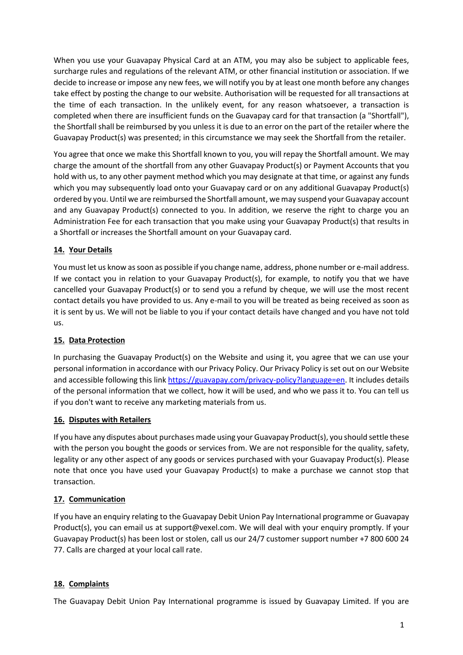When you use your Guavapay Physical Card at an ATM, you may also be subject to applicable fees, surcharge rules and regulations of the relevant ATM, or other financial institution or association. If we decide to increase or impose any new fees, we will notify you by at least one month before any changes take effect by posting the change to our website. Authorisation will be requested for all transactions at the time of each transaction. In the unlikely event, for any reason whatsoever, a transaction is completed when there are insufficient funds on the Guavapay card for that transaction (a "Shortfall"), the Shortfall shall be reimbursed by you unless it is due to an error on the part of the retailer where the Guavapay Product(s) was presented; in this circumstance we may seek the Shortfall from the retailer.

You agree that once we make this Shortfall known to you, you will repay the Shortfall amount. We may charge the amount of the shortfall from any other Guavapay Product(s) or Payment Accounts that you hold with us, to any other payment method which you may designate at that time, or against any funds which you may subsequently load onto your Guavapay card or on any additional Guavapay Product(s) ordered by you. Until we are reimbursed the Shortfall amount, we may suspend your Guavapay account and any Guavapay Product(s) connected to you. In addition, we reserve the right to charge you an Administration Fee for each transaction that you make using your Guavapay Product(s) that results in a Shortfall or increases the Shortfall amount on your Guavapay card.

# **14. Your Details**

You must let us know as soon as possible if you change name, address, phone number or e-mail address. If we contact you in relation to your Guavapay Product(s), for example, to notify you that we have cancelled your Guavapay Product(s) or to send you a refund by cheque, we will use the most recent contact details you have provided to us. Any e-mail to you will be treated as being received as soon as it is sent by us. We will not be liable to you if your contact details have changed and you have not told us.

### **15. Data Protection**

In purchasing the Guavapay Product(s) on the Website and using it, you agree that we can use your personal information in accordance with our Privacy Policy. Our Privacy Policy is set out on our Website and accessible following this link [https://guavapay.com/privacy-policy?language=en.](https://guavapay.com/privacy-policy?language=en) It includes details of the personal information that we collect, how it will be used, and who we pass it to. You can tell us if you don't want to receive any marketing materials from us.

### **16. Disputes with Retailers**

If you have any disputes about purchases made using your Guavapay Product(s), you should settle these with the person you bought the goods or services from. We are not responsible for the quality, safety, legality or any other aspect of any goods or services purchased with your Guavapay Product(s). Please note that once you have used your Guavapay Product(s) to make a purchase we cannot stop that transaction.

# **17. Communication**

If you have an enquiry relating to the Guavapay Debit Union Pay International programme or Guavapay Product(s), you can email us at [support@vexel.com.](mailto:support@vexel.com) We will deal with your enquiry promptly. If your Guavapay Product(s) has been lost or stolen, call us our 24/7 customer support number +7 800 600 24 77. Calls are charged at your local call rate.

### **18. Complaints**

The Guavapay Debit Union Pay International programme is issued by Guavapay Limited. If you are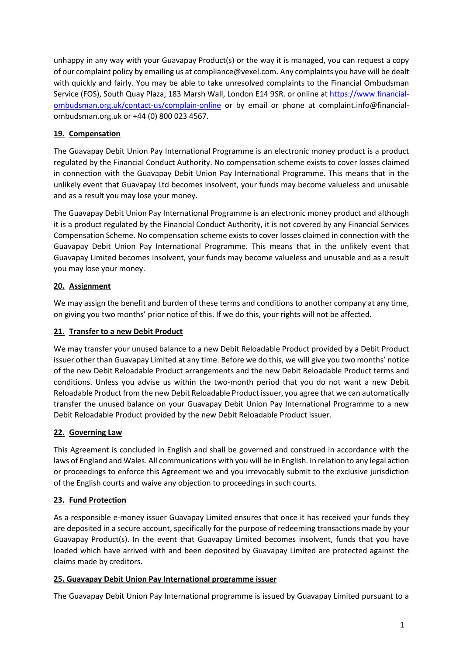unhappy in any way with your Guavapay Product(s) or the way it is managed, you can request a copy of our complaint policy by emailing us at [compliance@vexel.com.](mailto:compliance@vexel.com) Any complaints you have will be dealt with quickly and fairly. You may be able to take unresolved complaints to the Financial Ombudsman Service (FOS), South Quay Plaza, 183 Marsh Wall, London E14 9SR. or online a[t https://www.financial](https://www.financial-ombudsman.org.uk/contact-us/complain-online)[ombudsman.org.uk/contact-us/complain-online](https://www.financial-ombudsman.org.uk/contact-us/complain-online) or by email or phone at [complaint.info@financial](mailto:complaint.info@financial-ombudsman.org.uk)[ombudsman.org.uk](mailto:complaint.info@financial-ombudsman.org.uk) or +44 (0) 800 023 4567.

# **19. Compensation**

The Guavapay Debit Union Pay International Programme is an electronic money product is a product regulated by the Financial Conduct Authority. No compensation scheme exists to cover losses claimed in connection with the Guavapay Debit Union Pay International Programme. This means that in the unlikely event that Guavapay Ltd becomes insolvent, your funds may become valueless and unusable and as a result you may lose your money.

The Guavapay Debit Union Pay International Programme is an electronic money product and although it is a product regulated by the Financial Conduct Authority, it is not covered by any Financial Services Compensation Scheme. No compensation scheme exists to cover losses claimed in connection with the Guavapay Debit Union Pay International Programme. This means that in the unlikely event that Guavapay Limited becomes insolvent, your funds may become valueless and unusable and as a result you may lose your money.

# **20. Assignment**

We may assign the benefit and burden of these terms and conditions to another company at any time, on giving you two months' prior notice of this. If we do this, your rights will not be affected.

# **21. Transfer to a new Debit Product**

We may transfer your unused balance to a new Debit Reloadable Product provided by a Debit Product issuer other than Guavapay Limited at any time. Before we do this, we will give you two months' notice of the new Debit Reloadable Product arrangements and the new Debit Reloadable Product terms and conditions. Unless you advise us within the two-month period that you do not want a new Debit Reloadable Product from the new Debit Reloadable Product issuer, you agree that we can automatically transfer the unused balance on your Guavapay Debit Union Pay International Programme to a new Debit Reloadable Product provided by the new Debit Reloadable Product issuer.

# **22. Governing Law**

This Agreement is concluded in English and shall be governed and construed in accordance with the laws of England and Wales. All communications with you will be in English. In relation to any legal action or proceedings to enforce this Agreement we and you irrevocably submit to the exclusive jurisdiction of the English courts and waive any objection to proceedings in such courts.

# **23. Fund Protection**

As a responsible e-money issuer Guavapay Limited ensures that once it has received your funds they are deposited in a secure account, specifically for the purpose of redeeming transactions made by your Guavapay Product(s). In the event that Guavapay Limited becomes insolvent, funds that you have loaded which have arrived with and been deposited by Guavapay Limited are protected against the claims made by creditors.

### **25. Guavapay Debit Union Pay International programme issuer**

The Guavapay Debit Union Pay International programme is issued by Guavapay Limited pursuant to a